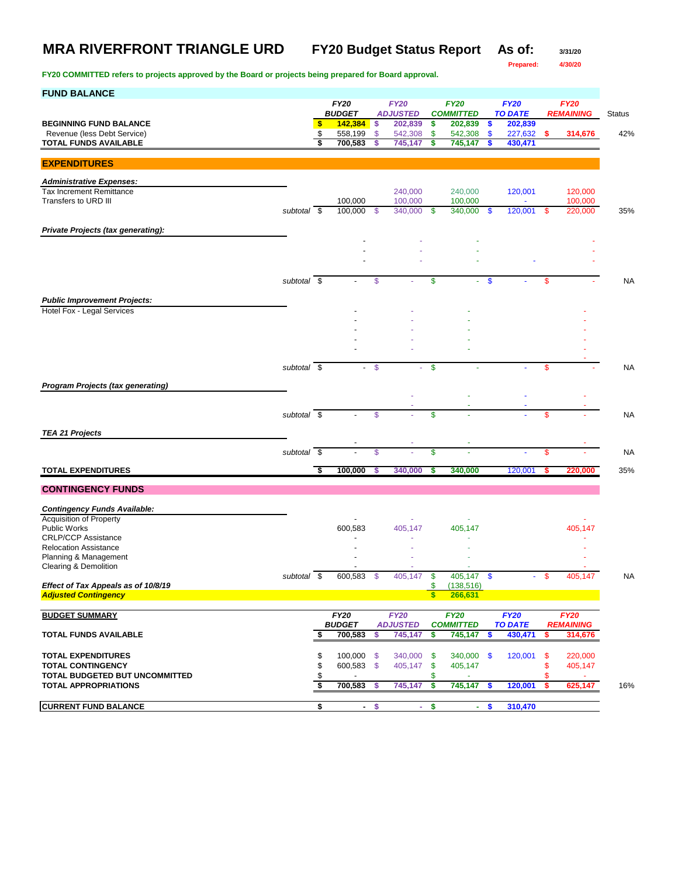**Prepared: 4/30/20**

| <b>FUND BALANCE</b>                                                |                          |          |                              |               |                                |          |                                 |               |                               |          |                                 |               |
|--------------------------------------------------------------------|--------------------------|----------|------------------------------|---------------|--------------------------------|----------|---------------------------------|---------------|-------------------------------|----------|---------------------------------|---------------|
|                                                                    |                          |          | <b>FY20</b><br><b>BUDGET</b> |               | <b>FY20</b><br><b>ADJUSTED</b> |          | <b>FY20</b><br><b>COMMITTED</b> |               | <b>FY20</b><br><b>TO DATE</b> |          | <b>FY20</b><br><b>REMAINING</b> | <b>Status</b> |
| <b>BEGINNING FUND BALANCE</b>                                      |                          | \$       | 142,384                      | \$.           | 202,839                        | \$       | 202,839                         | \$            | 202,839                       |          |                                 |               |
| Revenue (less Debt Service)                                        |                          | \$       | 558,199                      | \$            | 542,308                        | \$       | 542,308                         | $\mathbf{\$}$ | 227,632                       | s        | 314,676                         | 42%           |
| TOTAL FUNDS AVAILABLE                                              |                          | \$       | 700,583                      | S             | 745,147                        | \$       | 745,147                         | \$            | 430,471                       |          |                                 |               |
| <b>EXPENDITURES</b>                                                |                          |          |                              |               |                                |          |                                 |               |                               |          |                                 |               |
| <b>Administrative Expenses:</b>                                    |                          |          |                              |               |                                |          |                                 |               |                               |          |                                 |               |
| <b>Tax Increment Remittance</b>                                    |                          |          |                              |               | 240,000                        |          | 240,000                         |               | 120,001                       |          | 120,000                         |               |
| Transfers to URD III                                               |                          |          | 100,000                      |               | 100,000                        |          | 100,000                         |               |                               |          | 100,000                         |               |
|                                                                    | subtotal \$              |          | 100,000                      | S.            | 340,000                        | \$       | 340.000                         | -S            | 120,001                       | -\$      | 220,000                         | 35%           |
| <b>Private Projects (tax generating):</b>                          |                          |          |                              |               |                                |          |                                 |               |                               |          |                                 |               |
|                                                                    |                          |          |                              |               |                                |          |                                 |               |                               |          |                                 |               |
|                                                                    |                          |          |                              |               |                                |          |                                 |               |                               |          |                                 |               |
|                                                                    |                          |          |                              |               |                                |          |                                 |               |                               |          |                                 |               |
|                                                                    | subtotal \$              |          |                              | \$            |                                | \$       |                                 | \$            |                               | \$       |                                 | <b>NA</b>     |
| <b>Public Improvement Projects:</b>                                |                          |          |                              |               |                                |          |                                 |               |                               |          |                                 |               |
| Hotel Fox - Legal Services                                         |                          |          |                              |               |                                |          |                                 |               |                               |          |                                 |               |
|                                                                    |                          |          |                              |               |                                |          |                                 |               |                               |          |                                 |               |
|                                                                    |                          |          |                              |               |                                |          |                                 |               |                               |          |                                 |               |
|                                                                    |                          |          |                              |               |                                |          |                                 |               |                               |          |                                 |               |
|                                                                    | subtotal \$              |          |                              | $\mathbf{\$}$ |                                | \$       |                                 |               |                               | \$       |                                 | <b>NA</b>     |
|                                                                    |                          |          |                              |               |                                |          |                                 |               |                               |          |                                 |               |
| <b>Program Projects (tax generating)</b>                           |                          |          |                              |               |                                |          |                                 |               |                               |          |                                 |               |
|                                                                    |                          |          |                              |               |                                |          |                                 |               |                               |          |                                 |               |
|                                                                    | subtotal \$              |          |                              | \$            |                                | \$       |                                 |               |                               | \$       |                                 | <b>NA</b>     |
| <b>TEA 21 Projects</b>                                             |                          |          |                              |               |                                |          |                                 |               |                               |          |                                 |               |
|                                                                    |                          |          |                              |               |                                |          |                                 |               |                               |          |                                 |               |
|                                                                    | subtotal \$              |          |                              | \$            |                                | \$       |                                 |               |                               | \$       |                                 | <b>NA</b>     |
| <b>TOTAL EXPENDITURES</b>                                          |                          | -\$      | 100,000                      | S             | 340,000                        | S        | 340,000                         |               | 120,001                       | s        | 220,000                         | 35%           |
|                                                                    |                          |          |                              |               |                                |          |                                 |               |                               |          |                                 |               |
| <b>CONTINGENCY FUNDS</b>                                           |                          |          |                              |               |                                |          |                                 |               |                               |          |                                 |               |
| <b>Contingency Funds Available:</b>                                |                          |          |                              |               |                                |          |                                 |               |                               |          |                                 |               |
| <b>Acquisition of Property</b><br><b>Public Works</b>              |                          |          |                              |               |                                |          | 405,147                         |               |                               |          |                                 |               |
| <b>CRLP/CCP Assistance</b>                                         |                          |          | 600,583                      |               | 405,147                        |          |                                 |               |                               |          | 405,147                         |               |
| <b>Relocation Assistance</b>                                       |                          |          |                              |               |                                |          |                                 |               |                               |          |                                 |               |
| Planning & Management<br>Clearing & Demolition                     |                          |          |                              |               |                                |          |                                 |               |                               |          |                                 |               |
|                                                                    | subtotal $\overline{\$}$ |          | 600,583                      | S             | 405.147                        | \$       | 405.147                         | \$            | ٠                             | \$       | 405,147                         | NA            |
| Effect of Tax Appeals as of 10/8/19<br><b>Adjusted Contingency</b> |                          |          |                              |               |                                | \$<br>\$ | (138, 516)<br>266,631           |               |                               |          |                                 |               |
|                                                                    |                          |          |                              |               |                                |          |                                 |               |                               |          |                                 |               |
| <b>BUDGET SUMMARY</b>                                              |                          |          | <b>FY20</b>                  |               | <b>FY20</b>                    |          | <b>FY20</b>                     |               | <b>FY20</b>                   |          | <b>FY20</b>                     |               |
| <b>TOTAL FUNDS AVAILABLE</b>                                       |                          |          | <b>BUDGET</b>                | \$            | <b>ADJUSTED</b>                | \$       | <b>COMMITTED</b>                | \$            | <b>TO DATE</b>                | \$       | <b>REMAINING</b>                |               |
|                                                                    |                          | \$       | 700,583                      |               | 745,147                        |          | 745,147                         |               | 430,471                       |          | 314,676                         |               |
| <b>TOTAL EXPENDITURES</b>                                          |                          | \$       | 100,000                      | $\mathbf s$   | 340,000                        | \$       | 340,000 \$                      |               | 120,001                       | \$       | 220,000                         |               |
| <b>TOTAL CONTINGENCY</b>                                           |                          | \$       | 600,583 \$                   |               | 405,147                        | \$       | 405,147                         |               |                               | \$       | 405,147                         |               |
| TOTAL BUDGETED BUT UNCOMMITTED<br><b>TOTAL APPROPRIATIONS</b>      |                          | \$<br>\$ | 700,583                      | \$            | 745,147                        | \$<br>\$ | 745,147                         | -\$           | 120,001                       | S<br>-\$ | 625,147                         | 16%           |
|                                                                    |                          |          |                              |               |                                |          |                                 |               |                               |          |                                 |               |
| <b>CURRENT FUND BALANCE</b>                                        |                          | \$       | $\sim$                       | $\frac{1}{2}$ | ÷                              | \$       |                                 | - \$          | 310,470                       |          |                                 |               |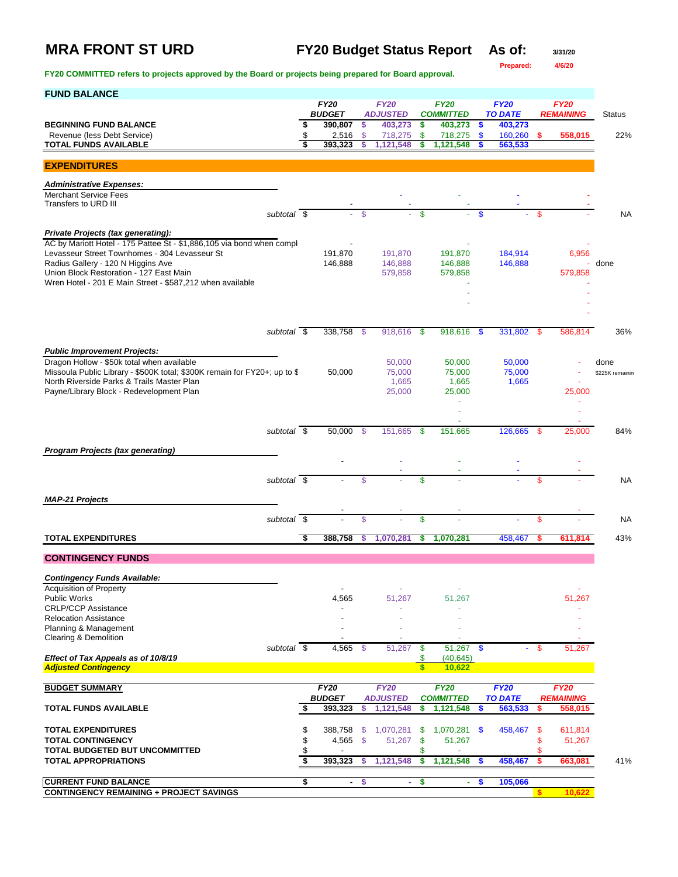## **MRA FRONT ST URD FY20 Budget Status Report As of: 3/31/20**

**Prepared: 4/6/20**

| <b>FUND BALANCE</b>                                                                                                     |          |                              |              |                                     |                          |                               |      |                           |      |                                 |                  |
|-------------------------------------------------------------------------------------------------------------------------|----------|------------------------------|--------------|-------------------------------------|--------------------------|-------------------------------|------|---------------------------|------|---------------------------------|------------------|
|                                                                                                                         |          | <b>FY20</b><br><b>BUDGET</b> |              | <b>FY20</b><br><b>ADJUSTED</b>      |                          | <b>FY20</b>                   |      | <b>FY20</b>               |      | <b>FY20</b><br><b>REMAINING</b> |                  |
| <b>BEGINNING FUND BALANCE</b>                                                                                           | \$       | 390,807                      | \$           | 403,273                             | S.                       | <b>COMMITTED</b><br>403,273   | \$   | <b>TO DATE</b><br>403,273 |      |                                 | <b>Status</b>    |
| Revenue (less Debt Service)                                                                                             | \$       | 2,516                        | \$           | 718,275                             | \$.                      | 718,275                       | \$   | 160,260                   | -\$  | 558,015                         | 22%              |
| <b>TOTAL FUNDS AVAILABLE</b>                                                                                            | \$       | 393,323                      | s            | 1,121,548                           | \$                       | 1,121,548                     | S    | 563,533                   |      |                                 |                  |
| <b>EXPENDITURES</b>                                                                                                     |          |                              |              |                                     |                          |                               |      |                           |      |                                 |                  |
| <b>Administrative Expenses:</b>                                                                                         |          |                              |              |                                     |                          |                               |      |                           |      |                                 |                  |
| <b>Merchant Service Fees</b>                                                                                            |          |                              |              |                                     |                          |                               |      |                           |      |                                 |                  |
| Transfers to URD III                                                                                                    |          |                              |              |                                     |                          |                               |      |                           |      |                                 |                  |
| subtotal \$                                                                                                             |          |                              | $\mathbb{S}$ |                                     | \$                       |                               | \$   |                           | \$   |                                 | <b>NA</b>        |
| <b>Private Projects (tax generating):</b>                                                                               |          |                              |              |                                     |                          |                               |      |                           |      |                                 |                  |
| AC by Mariott Hotel - 175 Pattee St - \$1,886,105 via bond when compl<br>Levasseur Street Townhomes - 304 Levasseur St  |          | 191,870                      |              | 191,870                             |                          | 191,870                       |      | 184,914                   |      | 6,956                           |                  |
| Radius Gallery - 120 N Higgins Ave                                                                                      |          | 146,888                      |              | 146,888                             |                          | 146,888                       |      | 146,888                   |      |                                 | - done           |
| Union Block Restoration - 127 East Main                                                                                 |          |                              |              | 579,858                             |                          | 579,858                       |      |                           |      | 579,858                         |                  |
| Wren Hotel - 201 E Main Street - \$587,212 when available                                                               |          |                              |              |                                     |                          |                               |      |                           |      |                                 |                  |
|                                                                                                                         |          |                              |              |                                     |                          |                               |      |                           |      |                                 |                  |
|                                                                                                                         |          |                              |              |                                     |                          |                               |      |                           |      |                                 |                  |
| subtotal $\overline{\$}$                                                                                                |          | 338,758                      | - \$         | 918,616                             | - \$                     | 918,616                       | -\$  | 331,802                   | - \$ | 586.814                         | 36%              |
|                                                                                                                         |          |                              |              |                                     |                          |                               |      |                           |      |                                 |                  |
| <b>Public Improvement Projects:</b>                                                                                     |          |                              |              |                                     |                          |                               |      |                           |      |                                 |                  |
| Dragon Hollow - \$50k total when available                                                                              |          |                              |              | 50,000                              |                          | 50,000                        |      | 50,000                    |      |                                 | done             |
| Missoula Public Library - \$500K total; \$300K remain for FY20+; up to \$<br>North Riverside Parks & Trails Master Plan |          | 50,000                       |              | 75,000<br>1,665                     |                          | 75,000<br>1,665               |      | 75,000<br>1,665           |      |                                 | \$225K remaining |
| Payne/Library Block - Redevelopment Plan                                                                                |          |                              |              | 25,000                              |                          | 25,000                        |      |                           |      | 25,000                          |                  |
|                                                                                                                         |          |                              |              |                                     |                          |                               |      |                           |      |                                 |                  |
|                                                                                                                         |          |                              |              |                                     |                          |                               |      |                           |      |                                 |                  |
| subtotal \$                                                                                                             |          | 50,000                       | $\mathbb{S}$ | 151,665                             | -\$                      | 151,665                       |      | 126,665                   | -\$  | 25,000                          | 84%              |
| <b>Program Projects (tax generating)</b>                                                                                |          |                              |              |                                     |                          |                               |      |                           |      |                                 |                  |
|                                                                                                                         |          |                              |              |                                     |                          |                               |      |                           |      |                                 |                  |
|                                                                                                                         |          |                              |              |                                     |                          |                               |      |                           |      |                                 |                  |
| subtotal \$                                                                                                             |          |                              | \$           |                                     | \$                       |                               |      |                           | \$   |                                 | <b>NA</b>        |
| <b>MAP-21 Projects</b>                                                                                                  |          |                              |              |                                     |                          |                               |      |                           |      |                                 |                  |
|                                                                                                                         |          |                              |              |                                     |                          |                               |      |                           |      |                                 |                  |
| subtotal \$                                                                                                             |          |                              | \$           |                                     | \$                       |                               |      |                           | \$   |                                 | <b>NA</b>        |
| <b>TOTAL EXPENDITURES</b>                                                                                               | Ŝ        | 388,758                      | s            | 1,070,281                           | s                        | 1,070,281                     |      | 458,467                   |      | 611,814                         | 43%              |
| <b>CONTINGENCY FUNDS</b>                                                                                                |          |                              |              |                                     |                          |                               |      |                           |      |                                 |                  |
|                                                                                                                         |          |                              |              |                                     |                          |                               |      |                           |      |                                 |                  |
| <b>Contingency Funds Available:</b><br>Acquisition of Property                                                          |          |                              |              |                                     |                          |                               |      |                           |      |                                 |                  |
| <b>Public Works</b>                                                                                                     |          | 4,565                        |              | 51,267                              |                          | 51,267                        |      |                           |      | 51,267                          |                  |
| <b>CRLP/CCP Assistance</b>                                                                                              |          |                              |              |                                     |                          |                               |      |                           |      |                                 |                  |
| <b>Relocation Assistance</b><br>Planning & Management                                                                   |          |                              |              |                                     |                          |                               |      |                           |      |                                 |                  |
| Clearing & Demolition                                                                                                   |          |                              |              |                                     |                          |                               |      |                           |      |                                 |                  |
| subtotal \$                                                                                                             |          | $4,565$ \$                   |              | 51,267                              | -\$                      | $51,267$ \$                   |      | ÷.                        | -\$  | 51,267                          |                  |
| Effect of Tax Appeals as of 10/8/19<br><b>Adjusted Contingency</b>                                                      |          |                              |              |                                     | \$<br>$\mathbf{\hat{s}}$ | (40, 645)<br>10,622           |      |                           |      |                                 |                  |
|                                                                                                                         |          |                              |              |                                     |                          |                               |      |                           |      |                                 |                  |
| <b>BUDGET SUMMARY</b>                                                                                                   |          | <b>FY20</b>                  |              | <b>FY20</b>                         |                          | <b>FY20</b>                   |      | <b>FY20</b>               |      | <b>FY20</b>                     |                  |
| <b>TOTAL FUNDS AVAILABLE</b>                                                                                            | S        | <b>BUDGET</b><br>393,323     | s            | <i><b>ADJUSTED</b></i><br>1,121,548 | s                        | <b>COMMITTED</b><br>1,121,548 | S    | <b>TO DATE</b><br>563,533 | \$   | <b>REMAINING</b><br>558.015     |                  |
|                                                                                                                         |          |                              |              |                                     |                          |                               |      |                           |      |                                 |                  |
| <b>TOTAL EXPENDITURES</b>                                                                                               | \$       | 388,758                      | \$.          | 1,070,281                           | \$                       | 1,070,281                     | \$   | 458,467                   | -\$  | 611,814                         |                  |
| <b>TOTAL CONTINGENCY</b>                                                                                                | \$       | $4,565$ \$                   |              | 51,267                              | \$                       | 51,267                        |      |                           | \$   | 51,267                          |                  |
| TOTAL BUDGETED BUT UNCOMMITTED                                                                                          | \$<br>\$ |                              |              |                                     | \$                       |                               |      |                           | \$   |                                 |                  |
| <b>TOTAL APPROPRIATIONS</b>                                                                                             |          | 393,323                      | s            | 1,121,548                           | S.                       | 1,121,548                     | S    | 458,467                   | -\$  | 663,081                         | 41%              |
| <b>CURRENT FUND BALANCE</b>                                                                                             | \$       | $\sim$                       | \$           | $\sim$                              | \$                       |                               | - \$ | 105,066                   |      |                                 |                  |
| <b>CONTINGENCY REMAINING + PROJECT SAVINGS</b>                                                                          |          |                              |              |                                     |                          |                               |      |                           | \$   | 10,622                          |                  |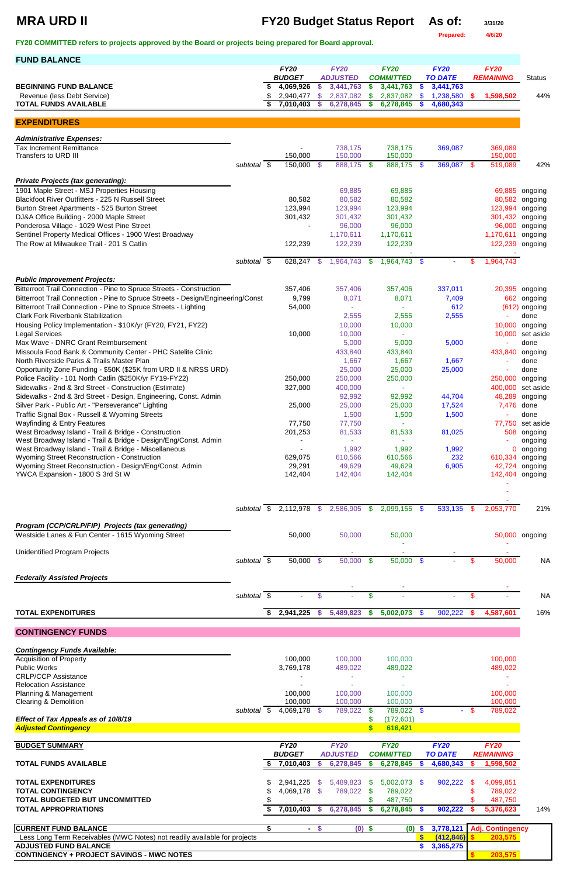**Prepared: 4/6/20**

**FY20 COMMITTED refers to projects approved by the Board or projects being prepared for Board approval.** 

**FUND BALANCE**

# **MRA URD II FY20 Budget Status Report** As of:  $\frac{3}{31/20}$

|                                                                                 |                          |    | <b>FY20</b>           |               | <b>FY20</b>     |               | <b>FY20</b>      |               | <b>FY20</b>    |               | <b>FY20</b>      |                   |
|---------------------------------------------------------------------------------|--------------------------|----|-----------------------|---------------|-----------------|---------------|------------------|---------------|----------------|---------------|------------------|-------------------|
|                                                                                 |                          |    | <b>BUDGET</b>         |               | <b>ADJUSTED</b> |               | <b>COMMITTED</b> |               | <b>TO DATE</b> |               | <b>REMAINING</b> | <b>Status</b>     |
| <b>BEGINNING FUND BALANCE</b>                                                   |                          |    | 4,069,926             | \$            | 3,441,763       | S             | 3,441,763        | <b>S</b>      | 3,441,763      |               |                  |                   |
| Revenue (less Debt Service)                                                     |                          |    | 2,940,477             | \$            | 2,837,082       | \$.           | 2,837,082        | \$.           | 1,238,580      | \$.           | 1,598,502        | 44%               |
| <b>TOTAL FUNDS AVAILABLE</b>                                                    |                          |    | 7,010,403             | S.            | 6,278,845       | S             | 6,278,845        |               | 4,680,343      |               |                  |                   |
|                                                                                 |                          |    |                       |               |                 |               |                  |               |                |               |                  |                   |
| <b>EXPENDITURES</b>                                                             |                          |    |                       |               |                 |               |                  |               |                |               |                  |                   |
| <b>Administrative Expenses:</b>                                                 |                          |    |                       |               |                 |               |                  |               |                |               |                  |                   |
| <b>Tax Increment Remittance</b>                                                 |                          |    |                       |               | 738,175         |               | 738,175          |               | 369,087        |               | 369,089          |                   |
| Transfers to URD III                                                            |                          |    | 150,000               |               | 150,000         |               | 150,000          |               |                |               | 150,000          |                   |
|                                                                                 | subtotal \$              |    | 150,000 \$            |               | 888,175         | - \$          | 888,175 \$       |               | 369,087 \$     |               | 519,089          | 42%               |
|                                                                                 |                          |    |                       |               |                 |               |                  |               |                |               |                  |                   |
| <b>Private Projects (tax generating):</b>                                       |                          |    |                       |               |                 |               |                  |               |                |               |                  |                   |
| 1901 Maple Street - MSJ Properties Housing                                      |                          |    |                       |               | 69,885          |               | 69,885           |               |                |               | 69,885           | ongoing           |
| Blackfoot River Outfitters - 225 N Russell Street                               |                          |    | 80,582                |               | 80,582          |               | 80,582           |               |                |               | 80,582           | ongoing           |
| Burton Street Apartments - 525 Burton Street                                    |                          |    | 123,994               |               | 123,994         |               | 123,994          |               |                |               | 123,994          | ongoing           |
| DJ&A Office Building - 2000 Maple Street                                        |                          |    | 301,432               |               | 301,432         |               | 301,432          |               |                |               | 301,432          | ongoing           |
| Ponderosa Village - 1029 West Pine Street                                       |                          |    |                       |               | 96,000          |               | 96,000           |               |                |               | 96,000           | ongoing           |
| Sentinel Property Medical Offices - 1900 West Broadway                          |                          |    |                       |               | 1,170,611       |               | 1,170,611        |               |                |               | 1,170,611        | ongoing           |
| The Row at Milwaukee Trail - 201 S Catlin                                       |                          |    | 122,239               |               | 122,239         |               | 122,239          |               |                |               | 122,239          | ongoing           |
|                                                                                 |                          |    |                       |               |                 |               |                  |               |                |               |                  |                   |
|                                                                                 | subtotal $\overline{\$}$ |    | 628,247               | - \$          | 1,964,743       | \$            | 1,964,743 \$     |               |                | \$            | 1,964,743        |                   |
|                                                                                 |                          |    |                       |               |                 |               |                  |               |                |               |                  |                   |
| <b>Public Improvement Projects:</b>                                             |                          |    |                       |               |                 |               |                  |               |                |               |                  |                   |
| Bitterroot Trail Connection - Pine to Spruce Streets - Construction             |                          |    | 357,406               |               | 357,406         |               | 357,406          |               | 337,011        |               | 20,395           | ongoing           |
| Bitterroot Trail Connection - Pine to Spruce Streets - Design/Engineering/Const |                          |    | 9,799                 |               | 8,071           |               | 8,071            |               | 7,409          |               | 662              | ongoing           |
| Bitterroot Trail Connection - Pine to Spruce Streets - Lighting                 |                          |    | 54,000                |               |                 |               |                  |               | 612            |               | (612)            | ongoing           |
| <b>Clark Fork Riverbank Stabilization</b>                                       |                          |    |                       |               | 2,555           |               | 2,555            |               | 2,555          |               |                  | done              |
| Housing Policy Implementation - \$10K/yr (FY20, FY21, FY22)                     |                          |    |                       |               | 10,000          |               | 10,000           |               |                |               | 10,000           | ongoing           |
| <b>Legal Services</b>                                                           |                          |    | 10,000                |               | 10,000          |               |                  |               |                |               | 10,000           | set aside         |
| Max Wave - DNRC Grant Reimbursement                                             |                          |    |                       |               | 5,000           |               | 5,000            |               | 5,000          |               | ٠                | done              |
| Missoula Food Bank & Community Center - PHC Satelite Clinic                     |                          |    |                       |               | 433,840         |               | 433,840          |               |                |               |                  |                   |
|                                                                                 |                          |    |                       |               |                 |               |                  |               |                |               | 433,840          | ongoing           |
| North Riverside Parks & Trails Master Plan                                      |                          |    |                       |               | 1,667           |               | 1,667            |               | 1,667          |               |                  | done              |
| Opportunity Zone Funding - \$50K (\$25K from URD II & NRSS URD)                 |                          |    |                       |               | 25,000          |               | 25,000           |               | 25,000         |               |                  | done              |
| Police Facility - 101 North Catlin (\$250K/yr FY19-FY22)                        |                          |    | 250,000               |               | 250,000         |               | 250,000          |               |                |               | 250,000 ongoing  |                   |
| Sidewalks - 2nd & 3rd Street - Construction (Estimate)                          |                          |    | 327,000               |               | 400,000         |               |                  |               |                |               |                  | 400,000 set aside |
| Sidewalks - 2nd & 3rd Street - Design, Engineering, Const. Admin                |                          |    |                       |               | 92,992          |               | 92,992           |               | 44,704         |               |                  | 48,289 ongoing    |
| Silver Park - Public Art - "Perseverance" Lighting                              |                          |    | 25,000                |               | 25,000          |               | 25,000           |               | 17,524         |               | 7,476            | done              |
| Traffic Signal Box - Russell & Wyoming Streets                                  |                          |    |                       |               | 1,500           |               | 1,500            |               | 1,500          |               |                  | done              |
| <b>Wayfinding &amp; Entry Features</b>                                          |                          |    | 77,750                |               | 77,750          |               |                  |               |                |               | 77,750           | set aside         |
| West Broadway Island - Trail & Bridge - Construction                            |                          |    | 201,253               |               | 81,533          |               | 81,533           |               | 81,025         |               | 508              | ongoing           |
| West Broadway Island - Trail & Bridge - Design/Eng/Const. Admin                 |                          |    |                       |               |                 |               |                  |               |                |               |                  | ongoing           |
| West Broadway Island - Trail & Bridge - Miscellaneous                           |                          |    |                       |               | 1,992           |               | 1,992            |               | 1,992          |               | 0                | ongoing           |
| Wyoming Street Reconstruction - Construction                                    |                          |    | 629,075               |               | 610,566         |               | 610,566          |               | 232            |               | 610,334          | ongoing           |
| Wyoming Street Reconstruction - Design/Eng/Const. Admin                         |                          |    | 29,291                |               | 49,629          |               | 49,629           |               | 6,905          |               | 42,724           | ongoing           |
| YWCA Expansion - 1800 S 3rd St W                                                |                          |    | 142,404               |               | 142,404         |               | 142,404          |               |                |               | 142,404          | ongoing           |
|                                                                                 |                          |    |                       |               |                 |               |                  |               |                |               |                  |                   |
|                                                                                 |                          |    |                       |               |                 |               |                  |               |                |               |                  |                   |
|                                                                                 |                          |    |                       |               |                 |               |                  |               |                |               |                  |                   |
|                                                                                 |                          |    | subtotal \$ 2,112,978 | $\sqrt{3}$    | 2,586,905       | \$            | 2,099,155        | - \$          | 533,135        | -S            | 2,053,770        | 21%               |
|                                                                                 |                          |    |                       |               |                 |               |                  |               |                |               |                  |                   |
| Program (CCP/CRLP/FIP) Projects (tax generating)                                |                          |    |                       |               |                 |               |                  |               |                |               |                  |                   |
| Westside Lanes & Fun Center - 1615 Wyoming Street                               |                          |    | 50,000                |               | 50,000          |               | 50,000           |               |                |               |                  | 50,000 ongoing    |
| <b>Unidentified Program Projects</b>                                            |                          |    |                       |               |                 |               |                  |               |                |               |                  |                   |
|                                                                                 |                          |    |                       |               |                 |               |                  |               |                |               |                  |                   |
|                                                                                 | subtotal \$              |    | 50,000 \$             |               | 50,000          | $\sqrt[6]{3}$ | 50,000           | $\sqrt{3}$    |                | \$            | 50,000           | <b>NA</b>         |
| <b>Federally Assisted Projects</b>                                              |                          |    |                       |               |                 |               |                  |               |                |               |                  |                   |
|                                                                                 |                          |    |                       |               |                 |               |                  |               |                |               |                  |                   |
|                                                                                 | subtotal \$              |    |                       | $\mathcal{L}$ |                 | \$            |                  |               |                | \$            |                  | <b>NA</b>         |
|                                                                                 |                          |    |                       |               |                 |               |                  |               |                |               |                  |                   |
| <b>TOTAL EXPENDITURES</b>                                                       |                          | S. | 2,941,225             | $\frac{1}{2}$ | 5,489,823       | \$            | 5,002,073        | $\mathcal{S}$ | 902,222        | $\frac{1}{2}$ | 4,587,601        | 16%               |
|                                                                                 |                          |    |                       |               |                 |               |                  |               |                |               |                  |                   |

**CONTINGENCY FUNDS**

| <b>Contingency Funds Available:</b>                                              |             |               |      |                 |          |                  |               |                |        |                         |     |
|----------------------------------------------------------------------------------|-------------|---------------|------|-----------------|----------|------------------|---------------|----------------|--------|-------------------------|-----|
| <b>Acquisition of Property</b>                                                   |             | 100,000       |      | 100,000         |          | 100,000          |               |                |        | 100,000                 |     |
| <b>Public Works</b>                                                              |             | 3,769,178     |      | 489,022         |          | 489,022          |               |                |        | 489,022                 |     |
| <b>CRLP/CCP Assistance</b>                                                       |             |               |      |                 |          |                  |               |                |        |                         |     |
| <b>Relocation Assistance</b>                                                     |             |               |      |                 |          |                  |               |                |        |                         |     |
| Planning & Management                                                            |             | 100,000       |      | 100,000         |          | 100,000          |               |                |        | 100,000                 |     |
| <b>Clearing &amp; Demolition</b>                                                 |             | 100,000       |      | 100,000         |          | 100,000          |               |                |        | 100,000                 |     |
|                                                                                  | subtotal \$ | 4,069,178 \$  |      | 789,022         | SS.      | 789,022          | $\mathbf{\$}$ |                | $-$ \$ | 789,022                 |     |
| Effect of Tax Appeals as of 10/8/19                                              |             |               |      |                 |          | (172, 601)       |               |                |        |                         |     |
| <b>Adjusted Contingency</b>                                                      |             |               |      |                 |          | 616,421          |               |                |        |                         |     |
|                                                                                  |             |               |      |                 |          |                  |               |                |        |                         |     |
| <b>BUDGET SUMMARY</b>                                                            |             | <b>FY20</b>   |      | <b>FY20</b>     |          | <b>FY20</b>      |               | <b>FY20</b>    |        | <b>FY20</b>             |     |
|                                                                                  |             | <b>BUDGET</b> |      | <b>ADJUSTED</b> |          | <b>COMMITTED</b> |               | <b>TO DATE</b> |        | <b>REMAINING</b>        |     |
| <b>TOTAL FUNDS AVAILABLE</b>                                                     |             | 7,010,403     | S    | 6,278,845       | S.       | 6,278,845        | <b>S</b>      | 4,680,343      |        | 1,598,502               |     |
| <b>TOTAL EXPENDITURES</b>                                                        |             | 2,941,225     | \$.  | 5,489,823       | SS.      | 5,002,073        | -S            | 902,222        | \$.    | 4,099,851               |     |
| <b>TOTAL CONTINGENCY</b>                                                         |             | 4,069,178 \$  |      | 789,022         | -SS      | 789,022          |               |                |        | 789,022                 |     |
| <b>TOTAL BUDGETED BUT UNCOMMITTED</b>                                            |             |               |      |                 |          | 487,750          |               |                |        | 487,750                 |     |
| <b>TOTAL APPROPRIATIONS</b>                                                      |             | 7,010,403     | -S   | 6,278,845       | S        | 6,278,845        | <b>S</b>      | 902,222        |        | 5,376,623               | 14% |
| <b>CURRENT FUND BALANCE</b>                                                      | \$          | $\sim$        | - \$ |                 | $(0)$ \$ | (0)              | <b>S</b>      | 3,778,121      |        | <b>Adj. Contingency</b> |     |
| Less Long Term Receivables (MWC Notes) not readily available for projects        |             |               |      |                 |          |                  |               | (412, 846)     |        | 203,575                 |     |
|                                                                                  |             |               |      |                 |          |                  |               |                |        |                         |     |
|                                                                                  |             |               |      |                 |          |                  |               |                |        |                         |     |
| <b>ADJUSTED FUND BALANCE</b><br><b>CONTINGENCY + PROJECT SAVINGS - MWC NOTES</b> |             |               |      |                 |          |                  |               | 3,365,275      |        | 203,575                 |     |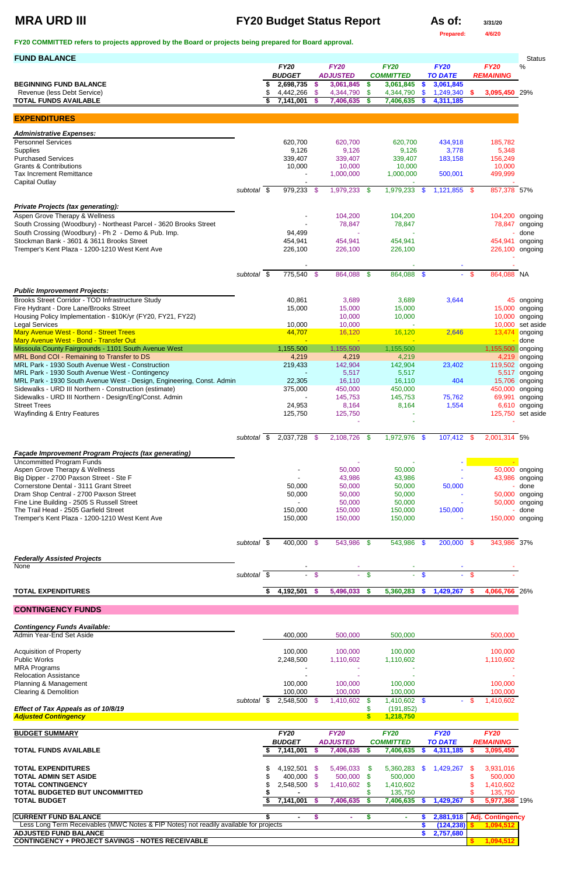# **MRA URD III FY20 Budget Status Report As of:**  $\frac{3}{31/20}$

| AS Of: |  | з |
|--------|--|---|
|        |  |   |

**Prepared: 4/6/20**

**FY20 COMMITTED refers to projects approved by the Board or projects being prepared for Board approval.** 

| <b>FUND BALANCE</b>                                                                                                      |                     |                              |        |                                |        |                                 |               |                               |          |                                 | <b>Status</b>                      |
|--------------------------------------------------------------------------------------------------------------------------|---------------------|------------------------------|--------|--------------------------------|--------|---------------------------------|---------------|-------------------------------|----------|---------------------------------|------------------------------------|
|                                                                                                                          |                     | <b>FY20</b><br><b>BUDGET</b> |        | <b>FY20</b><br><b>ADJUSTED</b> |        | <b>FY20</b><br><b>COMMITTED</b> |               | <b>FY20</b><br><b>TO DATE</b> |          | <b>FY20</b><br><b>REMAINING</b> | $\%$                               |
| <b>BEGINNING FUND BALANCE</b>                                                                                            |                     | 2,698,735                    | -\$    | 3,061,845                      | \$     | 3,061,845                       | $\frac{1}{2}$ | 3,061,845                     |          |                                 |                                    |
| Revenue (less Debt Service)                                                                                              |                     | 4,442,266                    | - \$   | 4,344,790                      | \$     | 4,344,790                       | -\$           | 1,249,340                     | <b>S</b> | 3,095,450 29%                   |                                    |
| <b>TOTAL FUNDS AVAILABLE</b>                                                                                             |                     | 7,141,001                    | -S     | 7,406,635                      | \$     | 7,406,635                       | - \$          | 4,311,185                     |          |                                 |                                    |
| <b>EXPENDITURES</b>                                                                                                      |                     |                              |        |                                |        |                                 |               |                               |          |                                 |                                    |
| <b>Administrative Expenses:</b>                                                                                          |                     |                              |        |                                |        |                                 |               |                               |          |                                 |                                    |
| <b>Personnel Services</b>                                                                                                |                     | 620,700                      |        | 620,700                        |        | 620,700                         |               | 434,918                       |          | 185,782                         |                                    |
| Supplies<br><b>Purchased Services</b>                                                                                    |                     | 9,126<br>339,407             |        | 9,126<br>339,407               |        | 9,126<br>339,407                |               | 3,778                         |          | 5,348<br>156,249                |                                    |
| <b>Grants &amp; Contributions</b>                                                                                        |                     | 10,000                       |        | 10,000                         |        | 10,000                          |               | 183,158                       |          | 10,000                          |                                    |
| <b>Tax Increment Remittance</b>                                                                                          |                     |                              |        | 1,000,000                      |        | 1,000,000                       |               | 500,001                       |          | 499,999                         |                                    |
| <b>Capital Outlay</b>                                                                                                    | subtotal \$         | 979,233 \$                   |        | 1,979,233 \$                   |        | 1,979,233                       | $\sqrt{3}$    | $1,121,855$ \$                |          | 857,378 57%                     |                                    |
|                                                                                                                          |                     |                              |        |                                |        |                                 |               |                               |          |                                 |                                    |
| <b>Private Projects (tax generating):</b><br>Aspen Grove Therapy & Wellness                                              |                     |                              |        | 104,200                        |        | 104,200                         |               |                               |          |                                 | 104,200 ongoing                    |
| South Crossing (Woodbury) - Northeast Parcel - 3620 Brooks Street                                                        |                     |                              |        | 78,847                         |        | 78,847                          |               |                               |          |                                 | 78,847 ongoing                     |
| South Crossing (Woodbury) - Ph 2 - Demo & Pub. Imp.                                                                      |                     | 94,499                       |        |                                |        |                                 |               |                               |          |                                 | done                               |
| Stockman Bank - 3601 & 3611 Brooks Street<br>Tremper's Kent Plaza - 1200-1210 West Kent Ave                              |                     | 454,941<br>226,100           |        | 454,941<br>226,100             |        | 454,941<br>226,100              |               |                               |          |                                 | 454,941 ongoing<br>226,100 ongoing |
|                                                                                                                          |                     |                              |        |                                |        |                                 |               |                               |          |                                 |                                    |
|                                                                                                                          |                     |                              |        |                                |        |                                 |               |                               |          |                                 |                                    |
|                                                                                                                          | subtotal \$         | 775,540 \$                   |        | 864,088 \$                     |        | 864,088 \$                      |               |                               | $-$ \$   | 864,088 NA                      |                                    |
| <b>Public Improvement Projects:</b>                                                                                      |                     |                              |        |                                |        |                                 |               |                               |          |                                 |                                    |
| Brooks Street Corridor - TOD Infrastructure Study<br>Fire Hydrant - Dore Lane/Brooks Street                              |                     | 40,861<br>15,000             |        | 3,689<br>15,000                |        | 3,689<br>15,000                 |               | 3,644                         |          | 15,000                          | 45 ongoing<br>ongoing              |
| Housing Policy Implementation - \$10K/yr (FY20, FY21, FY22)                                                              |                     |                              |        | 10,000                         |        | 10,000                          |               |                               |          | 10,000                          | ongoing                            |
| <b>Legal Services</b>                                                                                                    |                     | 10,000                       |        | 10,000                         |        |                                 |               |                               |          | 10,000                          | set aside                          |
| Mary Avenue West - Bond - Street Trees<br>Mary Avenue West - Bond - Transfer Out                                         |                     | 44,707                       |        | 16,120<br>$\sim$               |        | 16,120                          |               | 2,646                         |          | 13,474                          | ongoing<br>done                    |
| Missoula County Fairgrounds - 1101 South Avenue West                                                                     |                     | 1,155,500                    |        | 1,155,500                      |        | 1,155,500                       |               |                               |          | 1,155,500                       | ongoing                            |
| MRL Bond COI - Remaining to Transfer to DS                                                                               |                     | 4,219                        |        | 4,219                          |        | 4,219                           |               |                               |          | 4,219                           | ongoing                            |
| MRL Park - 1930 South Avenue West - Construction                                                                         |                     | 219,433                      |        | 142,904                        |        | 142,904                         |               | 23,402                        |          |                                 | 119,502 ongoing                    |
| MRL Park - 1930 South Avenue West - Contingency<br>MRL Park - 1930 South Avenue West - Design, Engineering, Const. Admin |                     | 22,305                       |        | 5,517<br>16,110                |        | 5,517<br>16,110                 |               | 404                           |          |                                 | 5,517 ongoing<br>15,706 ongoing    |
| Sidewalks - URD III Northern - Construction (estimate)                                                                   |                     | 375,000                      |        | 450,000                        |        | 450,000                         |               |                               |          | 450,000                         | ongoing                            |
| Sidewalks - URD III Northern - Design/Eng/Const. Admin                                                                   |                     |                              |        | 145,753                        |        | 145,753                         |               | 75,762                        |          | 69,991                          | ongoing                            |
| <b>Street Trees</b><br><b>Wayfinding &amp; Entry Features</b>                                                            |                     | 24,953<br>125,750            |        | 8,164<br>125,750               |        | 8,164                           |               | 1,554                         |          |                                 | 6,610 ongoing<br>125,750 set aside |
|                                                                                                                          |                     |                              |        |                                |        |                                 |               |                               |          |                                 |                                    |
|                                                                                                                          | subtotal \$         | 2,037,728 \$                 |        | 2,108,726 \$                   |        | 1,972,976 \$                    |               | 107,412 \$                    |          | 2,001,314 5%                    |                                    |
| Façade Improvement Program Projects (tax generating)                                                                     |                     |                              |        |                                |        |                                 |               |                               |          |                                 |                                    |
| <b>Uncommitted Program Funds</b>                                                                                         |                     |                              |        |                                |        |                                 |               |                               |          |                                 |                                    |
| Aspen Grove Therapy & Wellness                                                                                           |                     |                              |        | 50,000                         |        | 50,000                          |               |                               |          |                                 | 50,000 ongoing                     |
| Big Dipper - 2700 Paxson Street - Ste F<br>Cornerstone Dental - 3111 Grant Street                                        |                     | 50,000                       |        | 43,986<br>50,000               |        | 43,986<br>50,000                |               | 50,000                        |          |                                 | 43,986 ongoing<br>done             |
| Dram Shop Central - 2700 Paxson Street                                                                                   |                     | 50,000                       |        | 50,000                         |        | 50,000                          |               |                               |          |                                 | 50,000 ongoing                     |
| Fine Line Building - 2505 S Russell Street                                                                               |                     |                              |        | 50,000                         |        | 50,000                          |               |                               |          |                                 | 50,000 ongoing                     |
| The Trail Head - 2505 Garfield Street<br>Tremper's Kent Plaza - 1200-1210 West Kent Ave                                  |                     | 150,000<br>150,000           |        | 150,000<br>150,000             |        | 150,000<br>150,000              |               | 150,000                       |          |                                 | done<br>150,000 ongoing            |
|                                                                                                                          |                     |                              |        |                                |        |                                 |               |                               |          |                                 |                                    |
|                                                                                                                          | subtotal \$         | 400,000 \$                   |        | 543,986 \$                     |        | 543,986 \$                      |               | 200,000 \$                    |          | 343,986 37%                     |                                    |
| <b>Federally Assisted Projects</b>                                                                                       |                     |                              |        |                                |        |                                 |               |                               |          |                                 |                                    |
| None                                                                                                                     |                     | $\sim$                       |        |                                |        |                                 |               |                               |          |                                 |                                    |
|                                                                                                                          | subtotal $\sqrt{s}$ |                              | $-$ \$ |                                | $-$ \$ |                                 | $-$ \$        |                               | - \$     |                                 |                                    |
| <b>TOTAL EXPENDITURES</b>                                                                                                |                     | 4,192,501 \$                 |        | 5,496,033 \$                   |        | 5,360,283                       | $\sqrt{5}$    | 1,429,267 \$                  |          | 4,066,766 26%                   |                                    |
| <b>CONTINGENCY FUNDS</b>                                                                                                 |                     |                              |        |                                |        |                                 |               |                               |          |                                 |                                    |
| <b>Contingency Funds Available:</b>                                                                                      |                     |                              |        |                                |        |                                 |               |                               |          |                                 |                                    |

| <b>Acquisition of Property</b>                                                                                        |             | 100,000              |      | 100,000              |     | 100,000              |               |                         |      | 100,000                 |  |
|-----------------------------------------------------------------------------------------------------------------------|-------------|----------------------|------|----------------------|-----|----------------------|---------------|-------------------------|------|-------------------------|--|
| <b>Public Works</b>                                                                                                   |             | 2,248,500            |      | 1,110,602            |     | 1,110,602            |               |                         |      | 1,110,602               |  |
| <b>MRA Programs</b>                                                                                                   |             |                      |      |                      |     |                      |               |                         |      |                         |  |
| <b>Relocation Assistance</b>                                                                                          |             |                      |      |                      |     |                      |               |                         |      |                         |  |
| Planning & Management                                                                                                 |             | 100,000              |      | 100.000              |     | 100,000              |               |                         |      | 100,000                 |  |
| Clearing & Demolition                                                                                                 |             | 100,000              |      | 100,000              |     | 100,000              |               |                         |      | 100,000                 |  |
|                                                                                                                       | subtotal \$ | 2,548,500 \$         |      | 1,410,602            | \$. | 1,410,602            | <sup>\$</sup> |                         | - \$ | 1,410,602               |  |
| Effect of Tax Appeals as of 10/8/19                                                                                   |             |                      |      |                      |     | (191, 852)           |               |                         |      |                         |  |
| <b>Adjusted Contingency</b>                                                                                           |             |                      |      |                      |     | 1,218,750            |               |                         |      |                         |  |
|                                                                                                                       |             |                      |      |                      |     |                      |               |                         |      |                         |  |
| <b>BUDGET SUMMARY</b>                                                                                                 |             | <b>FY20</b>          |      | <b>FY20</b>          |     | <b>FY20</b>          |               | <b>FY20</b>             |      | <b>FY20</b>             |  |
|                                                                                                                       |             | <b>BUDGET</b>        |      | <b>ADJUSTED</b>      |     | <b>COMMITTED</b>     |               | <b>TO DATE</b>          |      | <b>REMAINING</b>        |  |
|                                                                                                                       |             |                      |      |                      |     |                      |               |                         |      |                         |  |
| <b>TOTAL FUNDS AVAILABLE</b>                                                                                          |             | 7,141,001            |      | 7,406,635            | S   | 7,406,635            | S.            | 4,311,185               |      | 3,095,450               |  |
| <b>TOTAL EXPENDITURES</b>                                                                                             |             |                      | - \$ |                      | S.  |                      | S.            |                         | S    |                         |  |
| <b>TOTAL ADMIN SET ASIDE</b>                                                                                          |             | 4,192,501            | -SS  | 5,496,033            | -86 | 5,360,283<br>500,000 |               | 1,429,267               |      | 3,931,016               |  |
| <b>TOTAL CONTINGENCY</b>                                                                                              |             | 400,000<br>2,548,500 | - \$ | 500,000<br>1,410,602 |     | 1,410,602            |               |                         |      | 500,000<br>1,410,602    |  |
| TOTAL BUDGETED BUT UNCOMMITTED                                                                                        |             |                      |      |                      |     | 135,750              |               |                         |      | 135,750                 |  |
| TOTAL BUDGET                                                                                                          |             | 7,141,001            |      | 7,406,635            | æ.  | 7,406,635            |               | 1,429,267               |      | 5,977,368 19%           |  |
|                                                                                                                       |             | $\blacksquare$       | \$   |                      |     | ۰                    |               |                         |      |                         |  |
| <b>CURRENT FUND BALANCE</b>                                                                                           |             |                      |      |                      |     |                      |               | 2,881,918               |      | <b>Adj. Contingency</b> |  |
| Less Long Term Receivables (MWC Notes & FIP Notes) not readily available for projects<br><b>ADJUSTED FUND BALANCE</b> |             |                      |      |                      |     |                      |               | (124, 238)<br>2,757,680 |      | 1,094,512               |  |

Admin Year-End Set Aside 600,000 500,000 500,000 500,000 500,000 500,000 500,000 500,000 500,000 500,000 500,000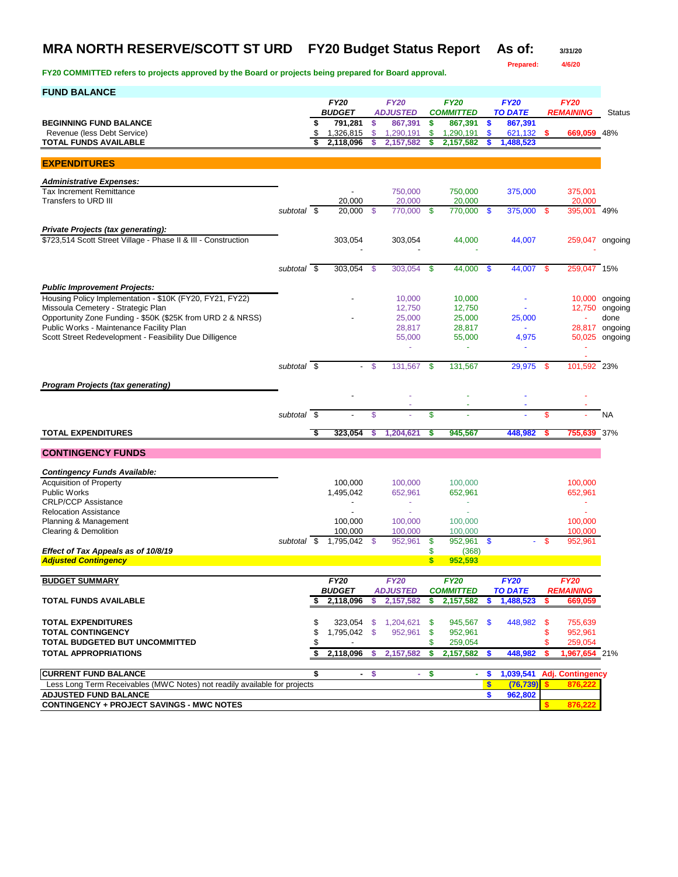### **MRA NORTH RESERVE/SCOTT ST URD FY20 Budget Status Report As of: 3/31/20**

**Prepared: 4/6/20**

| <b>FUND BALANCE</b>                                                                             |             |     |                          |      |                                |              |                                 |               |                               |     |                          |                |
|-------------------------------------------------------------------------------------------------|-------------|-----|--------------------------|------|--------------------------------|--------------|---------------------------------|---------------|-------------------------------|-----|--------------------------|----------------|
|                                                                                                 |             |     | <b>FY20</b>              |      | <b>FY20</b>                    |              | <b>FY20</b>                     |               | <b>FY20</b>                   |     | <b>FY20</b>              |                |
| <b>BEGINNING FUND BALANCE</b>                                                                   |             | \$  | <b>BUDGET</b><br>791,281 | \$   | <b>ADJUSTED</b><br>867,391     | \$           | <b>COMMITTED</b><br>867,391     | \$            | <b>TO DATE</b><br>867,391     |     | <b>REMAINING</b>         | <b>Status</b>  |
| Revenue (less Debt Service)                                                                     |             | \$  | 1,326,815                | \$   | 1,290,191                      | \$           | 1,290,191                       | $\mathbf{\$}$ | $621,132$ \$                  |     | 669,059 48%              |                |
| <b>TOTAL FUNDS AVAILABLE</b>                                                                    |             | S   | 2,118,096                | S    | 2,157,582                      | \$           | 2,157,582                       | S             | 1,488,523                     |     |                          |                |
| <b>EXPENDITURES</b>                                                                             |             |     |                          |      |                                |              |                                 |               |                               |     |                          |                |
|                                                                                                 |             |     |                          |      |                                |              |                                 |               |                               |     |                          |                |
| <b>Administrative Expenses:</b><br><b>Tax Increment Remittance</b>                              |             |     | $\overline{\phantom{a}}$ |      | 750,000                        |              | 750,000                         |               | 375,000                       |     | 375.001                  |                |
| Transfers to URD III                                                                            |             |     | 20,000                   |      | 20,000                         |              | 20,000                          |               |                               |     | 20,000                   |                |
|                                                                                                 | subtotal \$ |     | 20,000                   | - \$ | 770,000                        | - \$         | 770,000 \$                      |               | 375,000 \$                    |     | 395,001 49%              |                |
| <b>Private Projects (tax generating):</b>                                                       |             |     |                          |      |                                |              |                                 |               |                               |     |                          |                |
| \$723,514 Scott Street Village - Phase II & III - Construction                                  |             |     | 303,054                  |      | 303,054                        |              | 44,000                          |               | 44,007                        |     | 259,047 ongoing          |                |
|                                                                                                 |             |     |                          |      |                                |              |                                 |               |                               |     |                          |                |
|                                                                                                 | subtotal \$ |     | 303,054                  | \$   | 303,054                        | -\$          | 44,000                          | $\mathbf{\$}$ | 44,007 \$                     |     | 259,047 15%              |                |
|                                                                                                 |             |     |                          |      |                                |              |                                 |               |                               |     |                          |                |
| <b>Public Improvement Projects:</b><br>Housing Policy Implementation - \$10K (FY20, FY21, FY22) |             |     |                          |      | 10,000                         |              | 10,000                          |               |                               |     |                          | 10,000 ongoing |
| Missoula Cemetery - Strategic Plan                                                              |             |     |                          |      | 12,750                         |              | 12.750                          |               |                               |     | 12,750                   | ongoing        |
| Opportunity Zone Funding - \$50K (\$25K from URD 2 & NRSS)                                      |             |     |                          |      | 25,000                         |              | 25,000                          |               | 25,000                        |     |                          | done           |
| Public Works - Maintenance Facility Plan                                                        |             |     |                          |      | 28,817                         |              | 28,817                          |               |                               |     |                          | 28,817 ongoing |
| Scott Street Redevelopment - Feasibility Due Dilligence                                         |             |     |                          |      | 55,000                         |              | 55,000                          |               | 4,975                         |     |                          | 50,025 ongoing |
|                                                                                                 |             |     |                          |      | ÷,                             |              | ÷,                              |               | $\tilde{\phantom{a}}$         |     |                          |                |
|                                                                                                 | subtotal \$ |     |                          | - \$ | 131,567                        | \$           | 131,567                         |               | 29,975 \$                     |     | 101.592 23%              |                |
|                                                                                                 |             |     |                          |      |                                |              |                                 |               |                               |     |                          |                |
| <b>Program Projects (tax generating)</b>                                                        |             |     |                          |      |                                |              |                                 |               |                               |     |                          |                |
|                                                                                                 |             |     |                          |      |                                |              | $\sim$                          |               |                               |     |                          |                |
|                                                                                                 | subtotal \$ |     |                          | \$   |                                | \$           |                                 |               |                               | \$  |                          | <b>NA</b>      |
| <b>TOTAL EXPENDITURES</b>                                                                       |             | -\$ | 323,054                  | \$   | 1,204,621                      | s            | 945,567                         |               | 448,982                       |     | 755,639 37%              |                |
| <b>CONTINGENCY FUNDS</b>                                                                        |             |     |                          |      |                                |              |                                 |               |                               |     |                          |                |
|                                                                                                 |             |     |                          |      |                                |              |                                 |               |                               |     |                          |                |
| <b>Contingency Funds Available:</b><br><b>Acquisition of Property</b>                           |             |     | 100,000                  |      | 100,000                        |              | 100,000                         |               |                               |     | 100,000                  |                |
| <b>Public Works</b>                                                                             |             |     | 1,495,042                |      | 652,961                        |              | 652,961                         |               |                               |     | 652,961                  |                |
| <b>CRLP/CCP Assistance</b>                                                                      |             |     |                          |      |                                |              | $\sim$                          |               |                               |     | $\sim$                   |                |
| <b>Relocation Assistance</b>                                                                    |             |     |                          |      | $\sim$                         |              |                                 |               |                               |     | $\sim$                   |                |
| Planning & Management                                                                           |             |     | 100,000                  |      | 100,000                        |              | 100,000                         |               |                               |     | 100,000                  |                |
| Clearing & Demolition                                                                           |             |     | 100,000                  |      | 100,000                        |              | 100,000                         |               |                               |     | 100.000                  |                |
| Effect of Tax Appeals as of 10/8/19                                                             | subtotal \$ |     | 1,795,042                | -S   | 952,961                        | \$<br>\$     | 952,961 \$<br>(368)             |               |                               | -\$ | 952,961                  |                |
| <b>Adjusted Contingency</b>                                                                     |             |     |                          |      |                                | $\mathbf{s}$ | 952,593                         |               |                               |     |                          |                |
|                                                                                                 |             |     |                          |      |                                |              |                                 |               |                               |     |                          |                |
| <b>BUDGET SUMMARY</b>                                                                           |             |     | FY20<br><b>BUDGET</b>    |      | FY20<br><i><b>ADJUSTED</b></i> |              | <b>FY20</b><br><b>COMMITTED</b> |               | <b>FY20</b><br><b>TO DATE</b> |     | FY20<br><b>REMAINING</b> |                |
| <b>TOTAL FUNDS AVAILABLE</b>                                                                    |             | \$  | 2,118,096                | \$   | 2,157,582                      | \$           | 2,157,582                       | \$            | 1,488,523                     | s   | 669,059                  |                |
|                                                                                                 |             |     |                          |      |                                |              |                                 |               |                               |     |                          |                |
| <b>TOTAL EXPENDITURES</b>                                                                       |             |     |                          |      | 323,054 \$ 1,204,621 \$        |              | 945,567 \$                      |               | 448,982                       | -\$ | 755,639                  |                |
| <b>TOTAL CONTINGENCY</b>                                                                        |             | \$  | 1,795,042 \$             |      | 952,961                        | \$           | 952,961                         |               |                               | \$  | 952,961                  |                |
| <b>TOTAL BUDGETED BUT UNCOMMITTED</b><br><b>TOTAL APPROPRIATIONS</b>                            |             |     |                          |      |                                | \$           | 259,054                         |               |                               | \$  | 259,054<br>1.967.654 21% |                |
|                                                                                                 |             |     | $$2,118,096$ \$          |      | 2,157,582                      | s.           | 2,157,582                       | <b>S</b>      | 448,982                       | s   |                          |                |
| <b>CURRENT FUND BALANCE</b>                                                                     |             | \$  |                          | - \$ | ×.                             | \$           | ٠.                              | \$            | 1,039,541                     |     | <b>Adj. Contingency</b>  |                |
| Less Long Term Receivables (MWC Notes) not readily available for projects                       |             |     |                          |      |                                |              |                                 | $\sqrt{3}$    | (76, 739)                     |     | 876,222                  |                |
| <b>ADJUSTED FUND BALANCE</b>                                                                    |             |     |                          |      |                                |              |                                 | \$            | 962,802                       |     |                          |                |
| <b>CONTINGENCY + PROJECT SAVINGS - MWC NOTES</b>                                                |             |     |                          |      |                                |              |                                 |               |                               |     | 876,222                  |                |